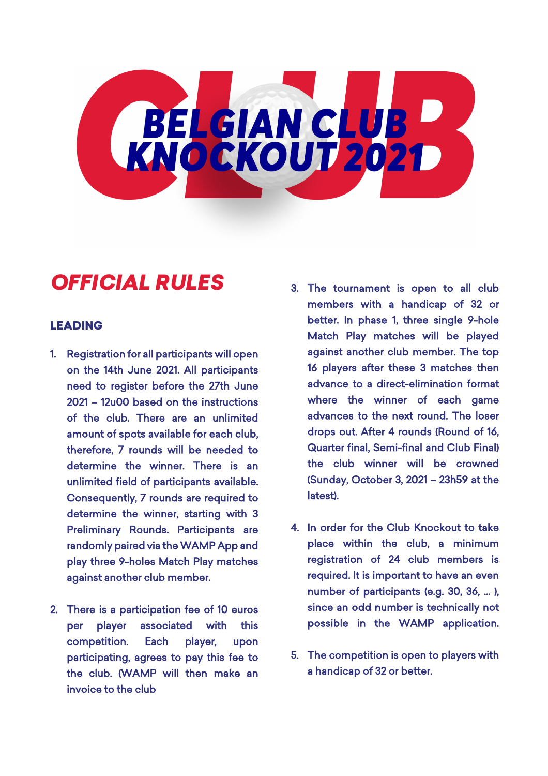

# *OFFICIAL RULES*

### LEADING

- 1. Registration for all participants will open on the 14th June 2021. All participants need to register before the 27th June 2021 – 12u00 based on the instructions of the club. There are an unlimited amount of spots available for each club, therefore, 7 rounds will be needed to determine the winner. There is an unlimited field of participants available. Consequently, 7 rounds are required to determine the winner, starting with 3 Preliminary Rounds. Participants are randomly paired via the WAMP App and play three 9-holes Match Play matches against another club member.
- 2. There is a participation fee of 10 euros per player associated with this competition. Each player, upon participating, agrees to pay this fee to the club. (WAMP will then make an invoice to the club
- 3. The tournament is open to all club members with a handicap of 32 or better. In phase 1, three single 9-hole Match Play matches will be played against another club member. The top 16 players after these 3 matches then advance to a direct-elimination format where the winner of each game advances to the next round. The loser drops out. After 4 rounds (Round of 16, Quarter final, Semi-final and Club Final) the club winner will be crowned (Sunday, October 3, 2021 – 23h59 at the latest).
- 4. In order for the Club Knockout to take place within the club, a minimum registration of 24 club members is required. It is important to have an even number of participants (e.g. 30, 36, ... ). since an odd number is technically not possible in the WAMP application.
- 5. The competition is open to players with a handicap of 32 or better.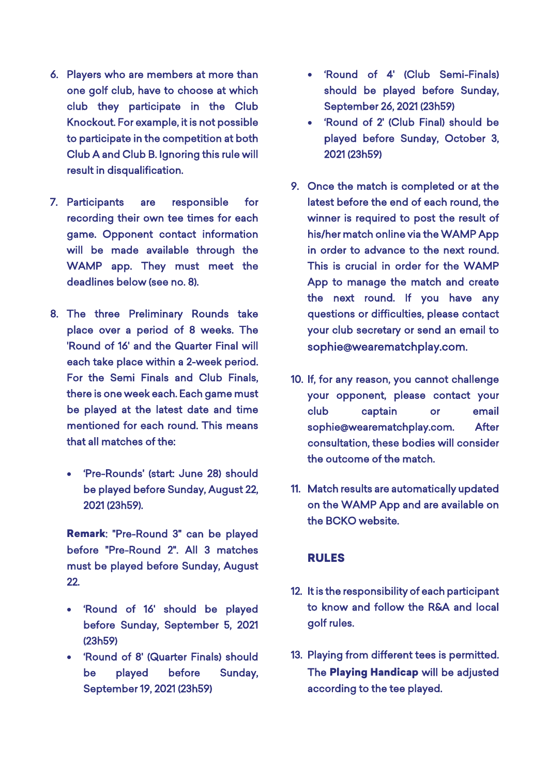- 6. Players who are members at more than one golf club, have to choose at which club they participate in the Club Knockout. For example, it is not possible to participate in the competition at both Club A and Club B. Ignoring this rule will result in disqualification.
- 7. Participants are responsible for recording their own tee times for each game. Opponent contact information will be made available through the WAMP app. They must meet the deadlines below (see no. 8).
- 8. The three Preliminary Rounds take place over a period of 8 weeks. The 'Round of 16' and the Quarter Final will each take place within a 2-week period. For the Semi Finals and Club Finals, there is one week each. Each game must be played at the latest date and time mentioned for each round. This means that all matches of the:
	- 'Pre-Rounds' (start: June 28) should be played before Sunday, August 22, 2021 (23h59).

Remark: "Pre-Round 3" can be played before "Pre-Round 2". All 3 matches must be played before Sunday, August 22.

- 'Round of 16' should be played before Sunday, September 5, 2021 (23h59)
- 'Round of 8' (Quarter Finals) should be played before Sunday, September 19, 2021 (23h59)
- 'Round of 4' (Club Semi-Finals) should be played before Sunday, September 26, 2021 (23h59)
- 'Round of 2' (Club Final) should be played before Sunday, October 3, 2021 (23h59)
- 9. Once the match is completed or at the latest before the end of each round, the winner is required to post the result of his/her match online via the WAMP App in order to advance to the next round. This is crucial in order for the WAMP App to manage the match and create the next round. If you have any questions or difficulties, please contact your club secretary or send an email to sophie@wearematchplay.com.
- 10. If, for any reason, you cannot challenge your opponent, please contact your club captain or email sophie@wearematchplay.com. After consultation, these bodies will consider the outcome of the match.
- 11. Match results are automatically updated on the WAMP App and are available on the BCKO website.

### RULES

- 12. It is the responsibility of each participant to know and follow the R&A and local golf rules.
- 13. Playing from different tees is permitted. The Playing Handicap will be adjusted according to the tee played.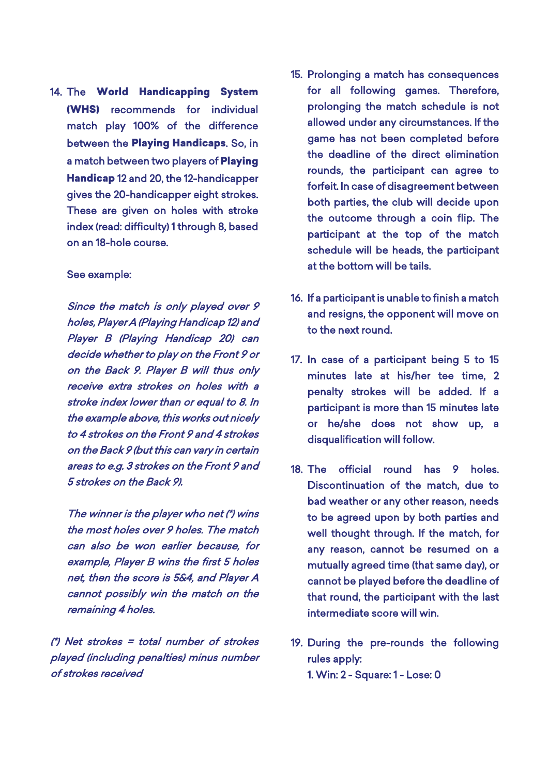14. The World Handicapping System (WHS) recommends for individual match play 100% of the difference between the Playing Handicaps. So, in a match between two players of Playing Handicap 12 and 20, the 12-handicapper gives the 20-handicapper eight strokes. These are given on holes with stroke index (read: difficulty) 1 through 8, based on an 18-hole course.

#### See example:

Since the match is only played over 9 holes, Player A (Playing Handicap 12) and Player B (Playing Handicap 20) can decide whether to play on the Front 9 or on the Back 9. Player B will thus only receive extra strokes on holes with a stroke index lower than or equal to 8. In the example above, this works out nicely to 4 strokes on the Front 9 and 4 strokes on the Back 9 (but this can vary in certain areas to e.g. 3 strokes on the Front 9 and 5 strokes on the Back 9).

The winner is the player who net (\*) wins the most holes over 9 holes. The match can also be won earlier because, for example, Player B wins the first 5 holes net, then the score is 5&4, and Player A cannot possibly win the match on the remaining 4 holes.

(\*) Net strokes = total number of strokes played (including penalties) minus number of strokes received

- 15. Prolonging a match has consequences for all following games. Therefore, prolonging the match schedule is not allowed under any circumstances. If the game has not been completed before the deadline of the direct elimination rounds, the participant can agree to forfeit. In case of disagreement between both parties, the club will decide upon the outcome through a coin flip. The participant at the top of the match schedule will be heads, the participant at the bottom will be tails.
- 16. If a participant is unable to finish a match and resigns, the opponent will move on to the next round.
- 17. In case of a participant being 5 to 15 minutes late at his/her tee time, 2 penalty strokes will be added. If a participant is more than 15 minutes late or he/she does not show up, a disqualification will follow.
- 18. The official round has 9 holes. Discontinuation of the match, due to bad weather or any other reason, needs to be agreed upon by both parties and well thought through. If the match, for any reason, cannot be resumed on a mutually agreed time (that same day), or cannot be played before the deadline of that round, the participant with the last intermediate score will win.
- 19. During the pre-rounds the following rules apply: 1. Win: 2 - Square: 1 - Lose: 0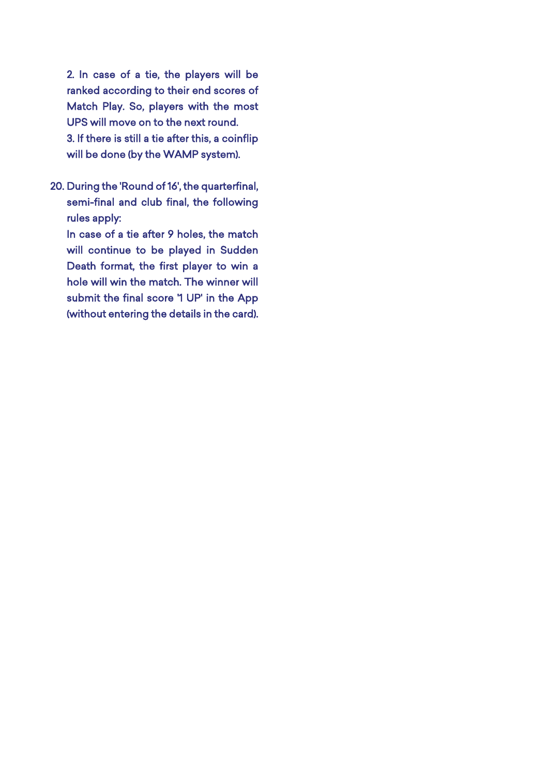2. In case of a tie, the players will be ranked according to their end scores of Match Play. So, players with the most UPS will move on to the next round. 3. If there is still a tie after this, a coinflip will be done (by the WAMP system).

20. During the 'Round of 16', the quarterfinal, semi-final and club final, the following rules apply:

In case of a tie after 9 holes, the match will continue to be played in Sudden Death format, the first player to win a hole will win the match. The winner will submit the final score '1 UP' in the App (without entering the details in the card).